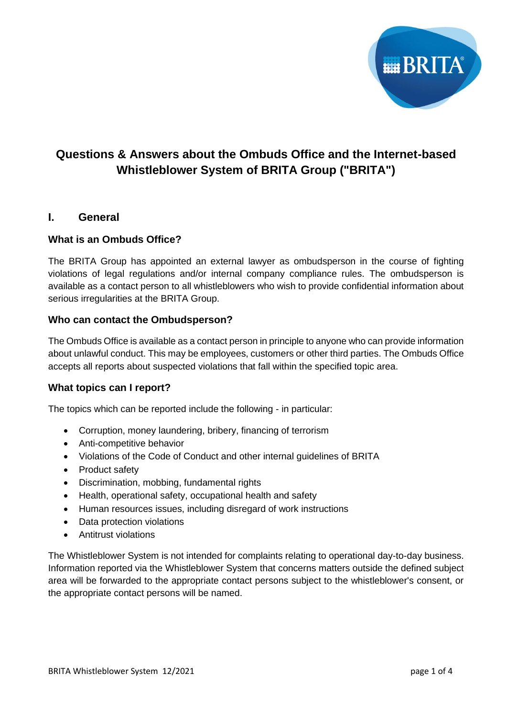

# **Questions & Answers about the Ombuds Office and the Internet-based Whistleblower System of BRITA Group ("BRITA")**

# **I. General**

# **What is an Ombuds Office?**

The BRITA Group has appointed an external lawyer as ombudsperson in the course of fighting violations of legal regulations and/or internal company compliance rules. The ombudsperson is available as a contact person to all whistleblowers who wish to provide confidential information about serious irregularities at the BRITA Group.

# **Who can contact the Ombudsperson?**

The Ombuds Office is available as a contact person in principle to anyone who can provide information about unlawful conduct. This may be employees, customers or other third parties. The Ombuds Office accepts all reports about suspected violations that fall within the specified topic area.

# **What topics can I report?**

The topics which can be reported include the following - in particular:

- Corruption, money laundering, bribery, financing of terrorism
- Anti-competitive behavior
- Violations of the Code of Conduct and other internal guidelines of BRITA
- Product safety
- Discrimination, mobbing, fundamental rights
- Health, operational safety, occupational health and safety
- Human resources issues, including disregard of work instructions
- Data protection violations
- Antitrust violations

The Whistleblower System is not intended for complaints relating to operational day-to-day business. Information reported via the Whistleblower System that concerns matters outside the defined subject area will be forwarded to the appropriate contact persons subject to the whistleblower's consent, or the appropriate contact persons will be named.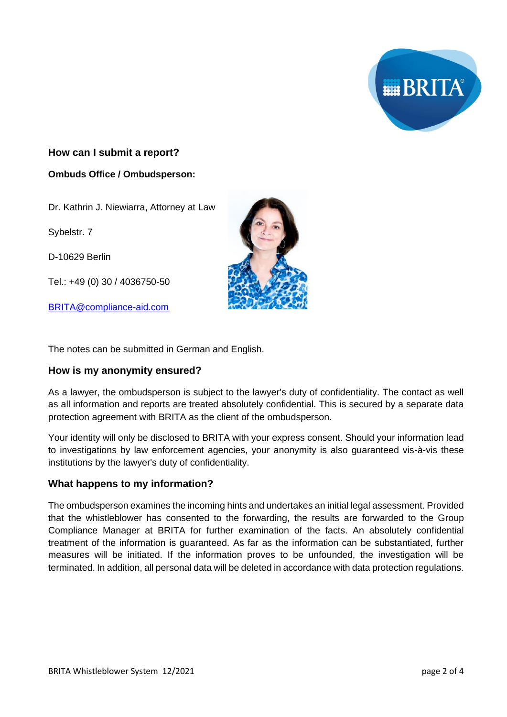

# **How can I submit a report?**

### **Ombuds Office / Ombudsperson:**

Dr. Kathrin J. Niewiarra, Attorney at Law

Sybelstr. 7

D-10629 Berlin

Tel.: +49 (0) 30 / 4036750-50

[BRITA@compliance-aid.com](mailto:BRITA@compliance-aid.com)



The notes can be submitted in German and English.

# **How is my anonymity ensured?**

As a lawyer, the ombudsperson is subject to the lawyer's duty of confidentiality. The contact as well as all information and reports are treated absolutely confidential. This is secured by a separate data protection agreement with BRITA as the client of the ombudsperson.

Your identity will only be disclosed to BRITA with your express consent. Should your information lead to investigations by law enforcement agencies, your anonymity is also guaranteed vis-à-vis these institutions by the lawyer's duty of confidentiality.

# **What happens to my information?**

The ombudsperson examines the incoming hints and undertakes an initial legal assessment. Provided that the whistleblower has consented to the forwarding, the results are forwarded to the Group Compliance Manager at BRITA for further examination of the facts. An absolutely confidential treatment of the information is guaranteed. As far as the information can be substantiated, further measures will be initiated. If the information proves to be unfounded, the investigation will be terminated. In addition, all personal data will be deleted in accordance with data protection regulations.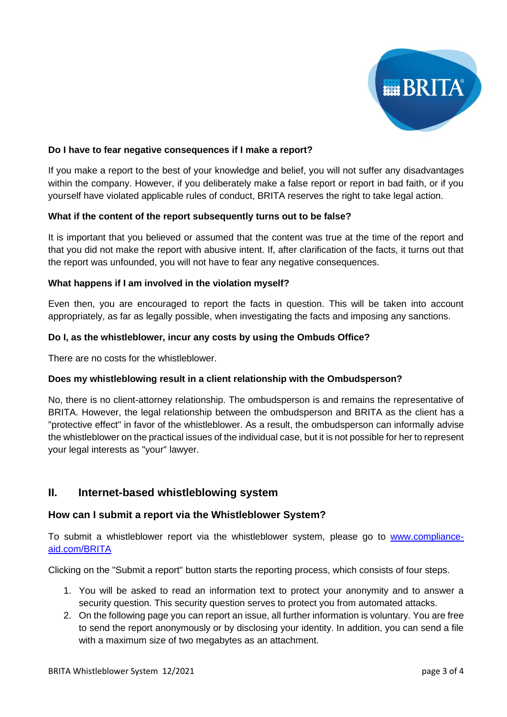

# **Do I have to fear negative consequences if I make a report?**

If you make a report to the best of your knowledge and belief, you will not suffer any disadvantages within the company. However, if you deliberately make a false report or report in bad faith, or if you yourself have violated applicable rules of conduct, BRITA reserves the right to take legal action.

#### **What if the content of the report subsequently turns out to be false?**

It is important that you believed or assumed that the content was true at the time of the report and that you did not make the report with abusive intent. If, after clarification of the facts, it turns out that the report was unfounded, you will not have to fear any negative consequences.

#### **What happens if I am involved in the violation myself?**

Even then, you are encouraged to report the facts in question. This will be taken into account appropriately, as far as legally possible, when investigating the facts and imposing any sanctions.

#### **Do I, as the whistleblower, incur any costs by using the Ombuds Office?**

There are no costs for the whistleblower.

#### **Does my whistleblowing result in a client relationship with the Ombudsperson?**

No, there is no client-attorney relationship. The ombudsperson is and remains the representative of BRITA. However, the legal relationship between the ombudsperson and BRITA as the client has a "protective effect" in favor of the whistleblower. As a result, the ombudsperson can informally advise the whistleblower on the practical issues of the individual case, but it is not possible for her to represent your legal interests as "your" lawyer.

# **II. Internet-based whistleblowing system**

# **How can I submit a report via the Whistleblower System?**

To submit a whistleblower report via the whistleblower system, please go to [www.compliance](http://www.compliance-aid.com/BRITA)[aid.com/BRITA](http://www.compliance-aid.com/BRITA)

Clicking on the "Submit a report" button starts the reporting process, which consists of four steps.

- 1. You will be asked to read an information text to protect your anonymity and to answer a security question. This security question serves to protect you from automated attacks.
- 2. On the following page you can report an issue, all further information is voluntary. You are free to send the report anonymously or by disclosing your identity. In addition, you can send a file with a maximum size of two megabytes as an attachment.